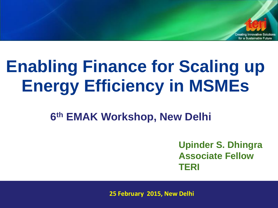

# **Enabling Finance for Scaling up Energy Efficiency in MSMEs**

**6 th EMAK Workshop, New Delhi**

**Upinder S. Dhingra Associate Fellow TERI**

**25 February 2015, New Delhi**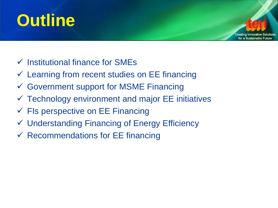# **Outline**



- $\checkmark$  Institutional finance for SMEs
- $\checkmark$  Learning from recent studies on EE financing
- Government support for MSME Financing
- $\checkmark$  Technology environment and major EE initiatives
- $\checkmark$  FIs perspective on EE Financing
- Understanding Financing of Energy Efficiency
- $\checkmark$  Recommendations for EE financing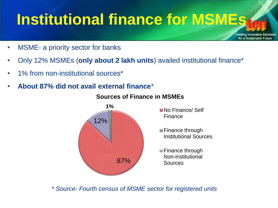# **Institutional finance for MSMEs**

Creating Innovative Solutions for a Sustainable Future

- MSME- a priority sector for banks
- Only 12% MSMEs (**only about 2 lakh units**) availed institutional finance\*
- 1% from non-institutional sources\*
- **About 87% did not avail external finance**\*



#### **Sources of Finance in MSMEs**

*\* Source- Fourth census of MSME sector for registered units*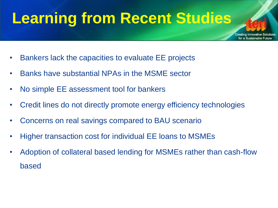### **Learning from Recent Studies**

for a Sustainable Futur

- Bankers lack the capacities to evaluate EE projects
- Banks have substantial NPAs in the MSME sector
- No simple EE assessment tool for bankers
- Credit lines do not directly promote energy efficiency technologies
- Concerns on real savings compared to BAU scenario
- Higher transaction cost for individual EE loans to MSMEs
- Adoption of collateral based lending for MSMEs rather than cash-flow based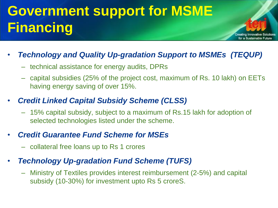### **Government support for MSME Financing**

### • *Technology and Quality Up-gradation Support to MSMEs (TEQUP)*

- technical assistance for energy audits, DPRs
- capital subsidies (25% of the project cost, maximum of Rs. 10 lakh) on EETs having energy saving of over 15%.

Creating Innovative Solutions for a Sustainable Future

### • *Credit Linked Capital Subsidy Scheme (CLSS)*

– 15% capital subsidy, subject to a maximum of Rs.15 lakh for adoption of selected technologies listed under the scheme.

### • *Credit Guarantee Fund Scheme for MSEs*

– collateral free loans up to Rs 1 crores

### • *Technology Up-gradation Fund Scheme (TUFS)*

– Ministry of Textiles provides interest reimbursement (2-5%) and capital subsidy (10-30%) for investment upto Rs 5 croreS.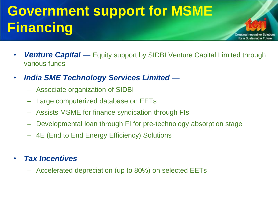### **Government support for MSME Financing**

• *Venture Capital* — Equity support by SIDBI Venture Capital Limited through various funds

Creating Innovative Solutions for a Sustainable Future

- *India SME Technology Services Limited* 
	- Associate organization of SIDBI
	- Large computerized database on EETs
	- Assists MSME for finance syndication through FIs
	- Developmental loan through FI for pre-technology absorption stage
	- 4E (End to End Energy Efficiency) Solutions

### • *Tax Incentives*

– Accelerated depreciation (up to 80%) on selected EETs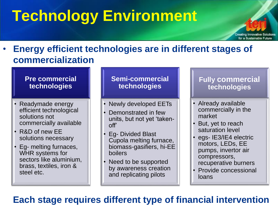# **Technology Environment**



#### **Pre commercial technologies**

- Readymade energy efficient technological solutions not commercially available
- R&D of new EE solutions necessary
- Eg- melting furnaces, WHR systems for sectors like aluminium, brass, textiles, iron & steel etc.

#### **Semi-commercial technologies**

- Newly developed EETs
- Demonstrated in few units, but not yet 'takenoff'
- Eg- Divided Blast Cupola melting furnace, biomass-gasifiers, hi-EE boilers
- Need to be supported by awareness creation and replicating pilots

#### **Fully commercial technologies**

for a Sustainable Future

- Already available commercially in the market
- But, yet to reach saturation level
- egs- IE3/IE4 electric motors, LEDs, EE pumps, invertor air compressors, recuperative burners
- Provide concessional loans

### **Each stage requires different type of financial intervention**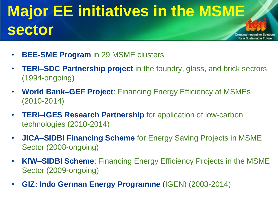### **Major EE initiatives in the MSME sector**  Creating Innovative Solutions for a Sustainable Future

- **BEE-SME Program** in 29 MSME clusters
- **TERI–SDC Partnership project** in the foundry, glass, and brick sectors (1994-ongoing)
- **World Bank–GEF Project**: Financing Energy Efficiency at MSMEs (2010-2014)
- **TERI–IGES Research Partnership** for application of low-carbon technologies (2010-2014)
- **JICA–SIDBI Financing Scheme** for Energy Saving Projects in MSME Sector (2008-ongoing)
- **KfW–SIDBI Scheme**: Financing Energy Efficiency Projects in the MSME Sector (2009-ongoing)
- **GIZ: Indo German Energy Programme** (IGEN) (2003-2014)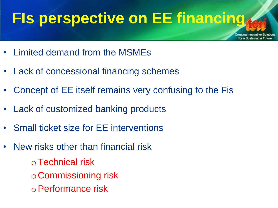### **FIs perspective on EE financing**

Creating Innovative Soli for a Sustainable Future

- Limited demand from the MSMEs
- Lack of concessional financing schemes
- Concept of EE itself remains very confusing to the Fis
- Lack of customized banking products
- Small ticket size for EE interventions
- New risks other than financial risk
	- $\circ$  Technical risk
	- o Commissioning risk
	- oPerformance risk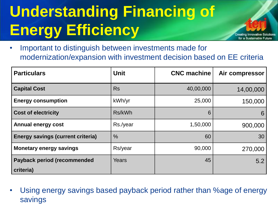# **Understanding Financing of Energy Efficiency**

• Important to distinguish between investments made for modernization/expansion with investment decision based on EE criteria

eating Innovative Solutions for a Sustainable Future

| <b>Particulars</b>                       | <b>Unit</b>   | <b>CNC machine</b> | Air compressor |
|------------------------------------------|---------------|--------------------|----------------|
| <b>Capital Cost</b>                      | <b>Rs</b>     | 40,00,000          | 14,00,000      |
| <b>Energy consumption</b>                | kWh/yr        | 25,000             | 150,000        |
| <b>Cost of electricity</b>               | Rs/kWh        | 6                  | 6              |
| <b>Annual energy cost</b>                | Rs./year      | 1,50,000           | 900,000        |
| <b>Energy savings (current criteria)</b> | $\frac{0}{0}$ | 60                 | 30             |
| <b>Monetary energy savings</b>           | Rs/year       | 90,000             | 270,000        |
| <b>Payback period (recommended</b>       | <b>Years</b>  | 45                 | 5.2            |
| criteria)                                |               |                    |                |

• Using energy savings based payback period rather than %age of energy savings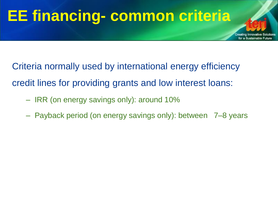# **EE financing- common criteria**

Criteria normally used by international energy efficiency credit lines for providing grants and low interest loans:

- IRR (on energy savings only): around 10%
- Payback period (on energy savings only): between 7–8 years

Creating Innovative Sol for a Sustainable Future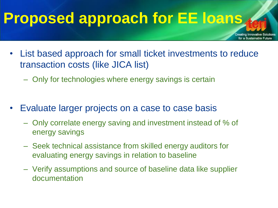### **Proposed approach for EE loans**

Creating Innovative Solutions for a Sustainable Future

- List based approach for small ticket investments to reduce transaction costs (like JICA list)
	- Only for technologies where energy savings is certain
- Evaluate larger projects on a case to case basis
	- Only correlate energy saving and investment instead of % of energy savings
	- Seek technical assistance from skilled energy auditors for evaluating energy savings in relation to baseline
	- Verify assumptions and source of baseline data like supplier documentation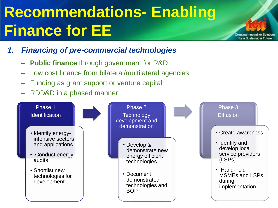# **Recommendations- Enabling Finance for EE**

- *1. Financing of pre-commercial technologies*
	- **Public finance** through government for R&D
	- Low cost finance from bilateral/multilateral agencies
	- Funding as grant support or venture capital
	- RDD&D in a phased manner



Creating Innovative Solutions for a Sustainable Future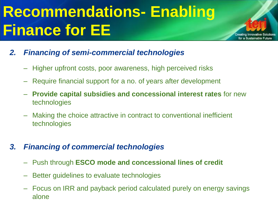# **Recommendations- Enabling Finance for EE**



- Higher upfront costs, poor awareness, high perceived risks
- Require financial support for a no. of years after development
- **Provide capital subsidies and concessional interest rates** for new technologies

for a Sustainable Future

– Making the choice attractive in contract to conventional inefficient technologies

#### *3. Financing of commercial technologies*

- Push through **ESCO mode and concessional lines of credit**
- Better guidelines to evaluate technologies
- Focus on IRR and payback period calculated purely on energy savings alone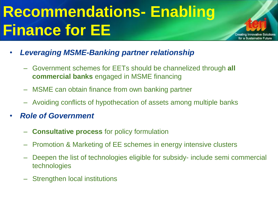# **Recommendations- Enabling Finance for EE**

- *Leveraging MSME-Banking partner relationship*
	- Government schemes for EETs should be channelized through **all commercial banks** engaged in MSME financing

reating Innovative So for a Sustainable Future

- MSME can obtain finance from own banking partner
- Avoiding conflicts of hypothecation of assets among multiple banks
- *Role of Government* 
	- **Consultative process** for policy formulation
	- Promotion & Marketing of EE schemes in energy intensive clusters
	- Deepen the list of technologies eligible for subsidy- include semi commercial technologies
	- Strengthen local institutions